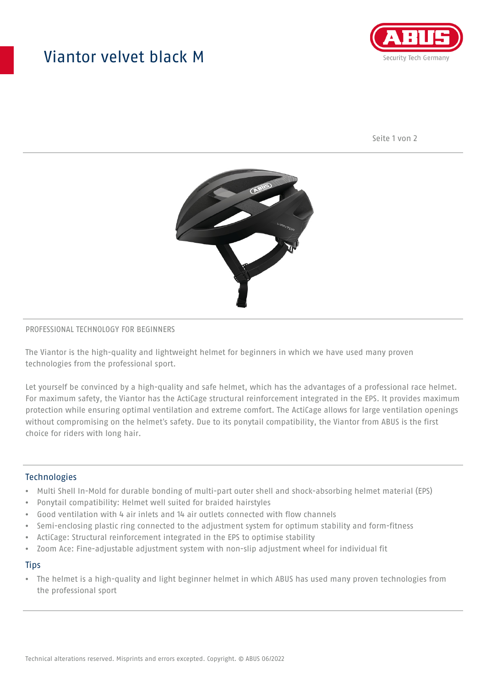## Viantor velvet black M



Seite 1 von 2



#### PROFESSIONAL TECHNOLOGY FOR BEGINNERS

The Viantor is the high-quality and lightweight helmet for beginners in which we have used many proven technologies from the professional sport.

Let yourself be convinced by a high-quality and safe helmet, which has the advantages of a professional race helmet. For maximum safety, the Viantor has the ActiCage structural reinforcement integrated in the EPS. It provides maximum protection while ensuring optimal ventilation and extreme comfort. The ActiCage allows for large ventilation openings without compromising on the helmet's safety. Due to its ponytail compatibility, the Viantor from ABUS is the first choice for riders with long hair.

#### **Technologies**

- Multi Shell In-Mold for durable bonding of multi-part outer shell and shock-absorbing helmet material (EPS)
- Ponytail compatibility: Helmet well suited for braided hairstyles
- Good ventilation with 4 air inlets and 14 air outlets connected with flow channels
- Semi-enclosing plastic ring connected to the adjustment system for optimum stability and form-fitness
- ActiCage: Structural reinforcement integrated in the EPS to optimise stability
- Zoom Ace: Fine-adjustable adjustment system with non-slip adjustment wheel for individual fit

#### **Tips**

• The helmet is a high-quality and light beginner helmet in which ABUS has used many proven technologies from the professional sport